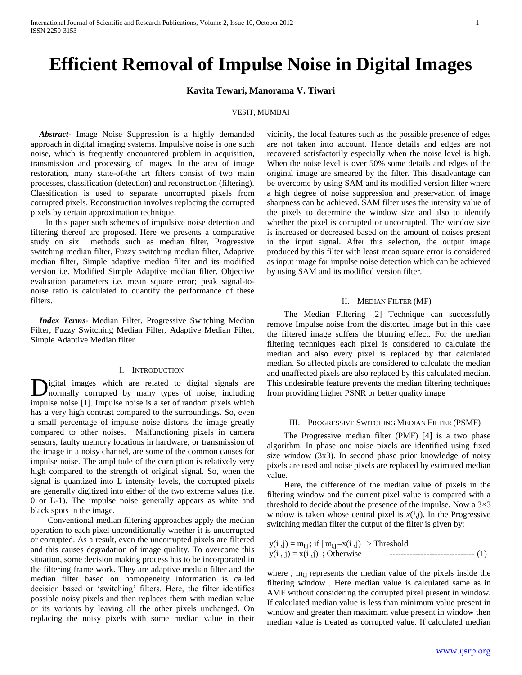# **Efficient Removal of Impulse Noise in Digital Images**

# **Kavita Tewari, Manorama V. Tiwari**

## VESIT, MUMBAI

 *Abstract***-** Image Noise Suppression is a highly demanded approach in digital imaging systems. Impulsive noise is one such noise, which is frequently encountered problem in acquisition, transmission and processing of images. In the area of image restoration, many state-of-the art filters consist of two main processes, classification (detection) and reconstruction (filtering). Classification is used to separate uncorrupted pixels from corrupted pixels. Reconstruction involves replacing the corrupted pixels by certain approximation technique.

 In this paper such schemes of impulsive noise detection and filtering thereof are proposed. Here we presents a comparative study on six methods such as median filter, Progressive switching median filter, Fuzzy switching median filter, Adaptive median filter, Simple adaptive median filter and its modified version i.e. Modified Simple Adaptive median filter. Objective evaluation parameters i.e. mean square error; peak signal-tonoise ratio is calculated to quantify the performance of these filters.

 *Index Terms*- Median Filter, Progressive Switching Median Filter, Fuzzy Switching Median Filter, Adaptive Median Filter, Simple Adaptive Median filter

# I. INTRODUCTION

igital images which are related to digital signals are normally corrupted by many types of noise, including impulse noise [1]. Impulse noise is a set of random pixels which has a very high contrast compared to the surroundings. So, even a small percentage of impulse noise distorts the image greatly compared to other noises. Malfunctioning pixels in camera sensors, faulty memory locations in hardware, or transmission of the image in a noisy channel, are some of the common causes for impulse noise. The amplitude of the corruption is relatively very high compared to the strength of original signal. So, when the signal is quantized into L intensity levels, the corrupted pixels are generally digitized into either of the two extreme values (i.e. 0 or L-1). The impulse noise generally appears as white and black spots in the image. D

 Conventional median filtering approaches apply the median operation to each pixel unconditionally whether it is uncorrupted or corrupted. As a result, even the uncorrupted pixels are filtered and this causes degradation of image quality. To overcome this situation, some decision making process has to be incorporated in the filtering frame work. They are adaptive median filter and the median filter based on homogeneity information is called decision based or 'switching' filters. Here, the filter identifies possible noisy pixels and then replaces them with median value or its variants by leaving all the other pixels unchanged. On replacing the noisy pixels with some median value in their

vicinity, the local features such as the possible presence of edges are not taken into account. Hence details and edges are not recovered satisfactorily especially when the noise level is high. When the noise level is over 50% some details and edges of the original image are smeared by the filter. This disadvantage can be overcome by using SAM and its modified version filter where a high degree of noise suppression and preservation of image sharpness can be achieved. SAM filter uses the intensity value of the pixels to determine the window size and also to identify whether the pixel is corrupted or uncorrupted. The window size is increased or decreased based on the amount of noises present in the input signal. After this selection, the output image produced by this filter with least mean square error is considered as input image for impulse noise detection which can be achieved by using SAM and its modified version filter.

## II. MEDIAN FILTER (MF)

 The Median Filtering [2] Technique can successfully remove Impulse noise from the distorted image but in this case the filtered image suffers the blurring effect. For the median filtering techniques each pixel is considered to calculate the median and also every pixel is replaced by that calculated median. So affected pixels are considered to calculate the median and unaffected pixels are also replaced by this calculated median. This undesirable feature prevents the median filtering techniques from providing higher PSNR or better quality image

# III. PROGRESSIVE SWITCHING MEDIAN FILTER (PSMF)

 The Progressive median filter (PMF) [4] is a two phase algorithm. In phase one noise pixels are identified using fixed size window (3x3). In second phase prior knowledge of noisy pixels are used and noise pixels are replaced by estimated median value.

 Here, the difference of the median value of pixels in the filtering window and the current pixel value is compared with a threshold to decide about the presence of the impulse. Now a  $3\times3$ window is taken whose central pixel is  $x(i,j)$ . In the Progressive switching median filter the output of the filter is given by:

| $y(i, j) = m_{i,j}$ ; if $ m_{i,j} - x(i, j)  >$ Threshold |                                      |  |
|------------------------------------------------------------|--------------------------------------|--|
| $y(i, j) = x(i, j)$ ; Otherwise                            | -------------------------------- (1) |  |

where,  $m_{ij}$  represents the median value of the pixels inside the filtering window . Here median value is calculated same as in AMF without considering the corrupted pixel present in window. If calculated median value is less than minimum value present in window and greater than maximum value present in window then median value is treated as corrupted value. If calculated median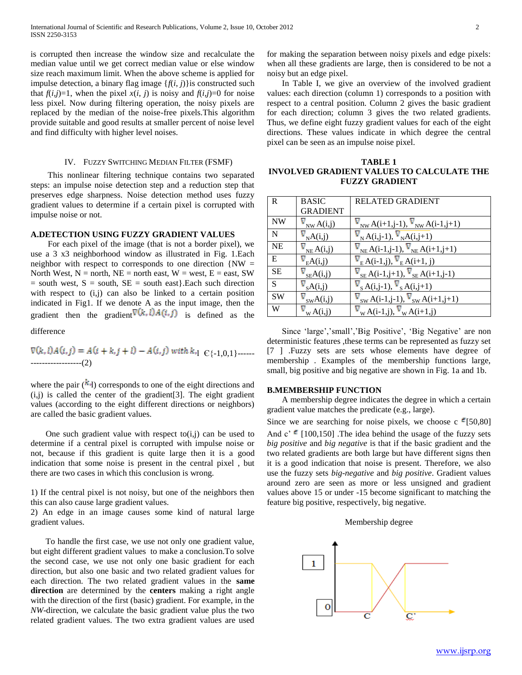is corrupted then increase the window size and recalculate the median value until we get correct median value or else window size reach maximum limit. When the above scheme is applied for impulse detection, a binary flag image {*f*(*i*, *j*)}is constructed such that  $f(i,j)=1$ , when the pixel  $x(i, j)$  is noisy and  $f(i,j)=0$  for noise less pixel. Now during filtering operation, the noisy pixels are replaced by the median of the noise-free pixels.This algorithm provide suitable and good results at smaller percent of noise level and find difficulty with higher level noises.

# IV. FUZZY SWITCHING MEDIAN FILTER (FSMF)

 This nonlinear filtering technique contains two separated steps: an impulse noise detection step and a reduction step that preserves edge sharpness. Noise detection method uses fuzzy gradient values to determine if a certain pixel is corrupted with impulse noise or not.

# **A.DETECTION USING FUZZY GRADIENT VALUES**

 For each pixel of the image (that is not a border pixel), we use a 3 x3 neighborhood window as illustrated in Fig. 1.Each neighbor with respect to corresponds to one direction  $\{NW =$ North West,  $N =$  north,  $NE =$  north east,  $W =$  west,  $E =$  east, SW  $=$  south west,  $S =$  south,  $SE =$  south east $\}$ . Each such direction with respect to (i,j) can also be linked to a certain position indicated in Fig1. If we denote A as the input image, then the gradient then the gradient  $\nabla(k, l) A(i, j)$  is defined as the

difference

l Є{-1,0,1}------ ------------------(2)

where the pair  $(k_1)$  corresponds to one of the eight directions and  $(i,j)$  is called the center of the gradient [3]. The eight gradient values (according to the eight different directions or neighbors) are called the basic gradient values.

One such gradient value with respect to  $(i,j)$  can be used to determine if a central pixel is corrupted with impulse noise or not, because if this gradient is quite large then it is a good indication that some noise is present in the central pixel , but there are two cases in which this conclusion is wrong.

1) If the central pixel is not noisy, but one of the neighbors then this can also cause large gradient values.

2) An edge in an image causes some kind of natural large gradient values.

 To handle the first case, we use not only one gradient value, but eight different gradient values to make a conclusion.To solve the second case, we use not only one basic gradient for each direction, but also one basic and two related gradient values for each direction. The two related gradient values in the **same direction** are determined by the **centers** making a right angle with the direction of the first (basic) gradient. For example, in the *NW*-direction, we calculate the basic gradient value plus the two related gradient values. The two extra gradient values are used for making the separation between noisy pixels and edge pixels: when all these gradients are large, then is considered to be not a noisy but an edge pixel.

 In Table I, we give an overview of the involved gradient values: each direction (column 1) corresponds to a position with respect to a central position. Column 2 gives the basic gradient for each direction; column 3 gives the two related gradients. Thus, we define eight fuzzy gradient values for each of the eight directions. These values indicate in which degree the central pixel can be seen as an impulse noise pixel.

**TABLE 1 INVOLVED GRADIENT VALUES TO CALCULATE THE FUZZY GRADIENT**

| $\mathbb{R}$ | <b>BASIC</b>    | <b>RELATED GRADIENT</b>                                                                                          |
|--------------|-----------------|------------------------------------------------------------------------------------------------------------------|
|              | <b>GRADIENT</b> |                                                                                                                  |
| <b>NW</b>    | $_{NW}A(i,j)$   | $N_{\text{NW}}A(i+1,j-1), V_{\text{NW}}A(i-1,j+1)$                                                               |
| $\mathbf N$  | $_{N}A(i,j)$    | $\nabla_{N} A(i,j-1), \nabla_{N} A(i,j+1)$                                                                       |
| <b>NE</b>    | $_{NE}A(i,j)$   | $\nabla_{\text{NE}} A(i-1,j-1), \nabla_{\text{NE}} A(i+1,j+1)$                                                   |
| E            | $_{E}A(i,j)$    | $\nabla_{\rm E} A(i-1,j), \nabla_{\rm E} A(i+1,j)$                                                               |
| <b>SE</b>    | $_{SE}A(i,j)$   | $\nabla_{\text{SE}} A(i-1,j+1), \nabla_{\text{SE}} A(i+1,j-1)$                                                   |
| S            | A(i,j)          | $\nabla_{\rm S}$ A(i,j-1), $\nabla_{\rm S}$ A(i,j+1)                                                             |
| <b>SW</b>    | swA(i,j)        | $\nabla_{\rm SW} A(i-1,j-1), \nabla_{\rm SW} A(i+1,j+1)$                                                         |
| W            | $W$ A $(i,j)$   | $\nabla_{\mathbf{W}}\mathbf{A}(\mathbf{i-1},\mathbf{j}), \nabla_{\mathbf{W}}\mathbf{A}(\mathbf{i+1},\mathbf{j})$ |

Since 'large','small','Big Positive', 'Big Negative' are non deterministic features , these terms can be represented as fuzzy set [7 ] .Fuzzy sets are sets whose elements have degree of membership . Examples of the membership functions large, small, big positive and big negative are shown in Fig. 1a and 1b.

# **B.MEMBERSHIP FUNCTION**

 A membership degree indicates the degree in which a certain gradient value matches the predicate (e.g., large).

Since we are searching for noise pixels, we choose c  $\epsilon$  [50,80] And  $c' \in [100,150]$ . The idea behind the usage of the fuzzy sets *big positive* and *big negative* is that if the basic gradient and the two related gradients are both large but have different signs then it is a good indication that noise is present. Therefore, we also use the fuzzy sets *big*-*negative* and *big positive*. Gradient values around zero are seen as more or less unsigned and gradient values above 15 or under -15 become significant to matching the feature big positive, respectively, big negative.

#### Membership degree

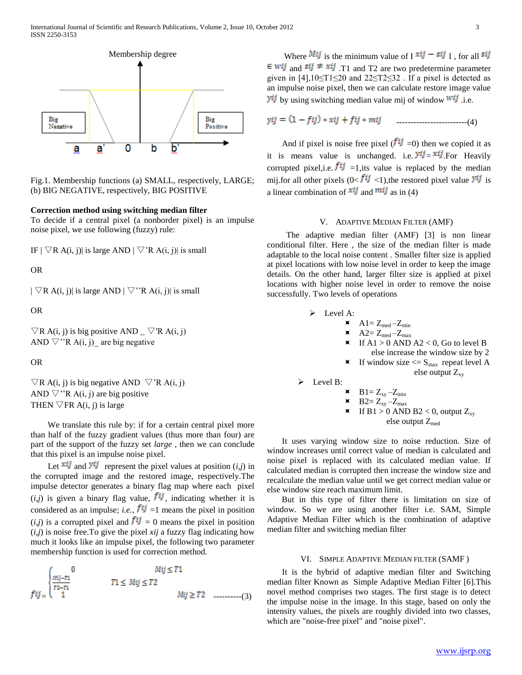

Fig.1. Membership functions (a) SMALL, respectively, LARGE; (b) BIG NEGATIVE, respectively, BIG POSITIVE

# **Correction method using switching median filter**

To decide if a central pixel (a nonborder pixel) is an impulse noise pixel, we use following (fuzzy) rule:

IF  $|\nabla R A(i, j)|$  is large AND  $|\nabla R A(i, j)|$  is small

# OR

 $|\nabla R A(i, j)|$  is large AND  $|\nabla$ "R A(i, j) is small

OR

 $\nabla$ R A(i, j) is big positive AND \_  $\nabla$ 'R A(i, j) AND  $\nabla$ "R A(i, j) are big negative

OR

 $\nabla$ R A(i, j) is big negative AND  $\nabla$ 'R A(i, j) AND  $\nabla$ "R A(i, j) are big positive THEN  $\nabla$ FR A(i, j) is large

We translate this rule by: if for a certain central pixel more than half of the fuzzy gradient values (thus more than four) are part of the support of the fuzzy set *large* , then we can conclude that this pixel is an impulse noise pixel.

Let  $\overrightarrow{xi}$  and  $\overrightarrow{y}$  represent the pixel values at position (*i,j*) in the corrupted image and the restored image, respectively.The impulse detector generates a binary flag map where each pixel  $(i,j)$  is given a binary flag value,  $f^{ij}$ , indicating whether it is considered as an impulse; *i.e.*,  $f^{ij} = 1$  means the pixel in position  $(i,j)$  is a corrupted pixel and  $f^{ij} = 0$  means the pixel in position (*i,j*) is noise free.To give the pixel *xij* a fuzzy flag indicating how much it looks like an impulse pixel, the following two parameter membership function is used for correction method.

$$
fij = \begin{cases} 0 & \qquad Mij \leq T1 \\ \frac{Mij - r1}{T2 - T1} & \qquad T1 \leq Mij \leq T2 \\ 1 & \qquad Mij \geq T2 \\ \end{cases} \tag{3}
$$

Where  $Mij$  is the minimum value of I  $xij - sij$  I, for all  $sij$  $\in$  wij and  $sij \neq xij$  T<sub>1</sub> and T<sub>2</sub> are two predetermine parameter given in [4],10≤T1≤20 and 22≤T2≤32 . If a pixel is detected as an impulse noise pixel, then we can calculate restore image value  $\dot{y}$  by using switching median value mij of window  $\dot{w}$  i.e.

-------------------------(4)

And if pixel is noise free pixel ( $f^{ij}$  =0) then we copied it as it is means value is unchanged. i.e.  $y^{ij} = x^{ij}$  For Heavily corrupted pixel, i.e.  $f^{ij}$  =1, its value is replaced by the median mij.for all other pixels  $(0 < f^{ij}$  < 1), the restored pixel value  $y^{ij}$  is a linear combination of  $xij$  and  $mij$  as in (4)

#### V. ADAPTIVE MEDIAN FILTER (AMF)

 The adaptive median filter (AMF) [3] is non linear conditional filter. Here , the size of the median filter is made adaptable to the local noise content . Smaller filter size is applied at pixel locations with low noise level in order to keep the image details. On the other hand, larger filter size is applied at pixel locations with higher noise level in order to remove the noise successfully. Two levels of operations

$$
\triangleright \quad \text{Level A:}
$$

$$
\blacktriangleleft \quad \mathbf{A1} = \mathbf{Z}_{\text{med}} - \mathbf{Z}_{\text{min}}
$$

 $\blacktriangleright$   $A2 = Z_{med} - Z_{max}$ 

If  $A1 > 0$  AND  $A2 < 0$ , Go to level B else increase the window size by 2

$$
\blacksquare
$$
 If window size  $\leq$  S<sub>max</sub> repeat level A  
else output Z<sub>xy</sub>

 $\triangleright$  Level B:

$$
\mathbf{X} \qquad \mathbf{B1} = \mathbf{Z}_{xy} - \mathbf{Z}_{min}
$$

$$
\text{X} \quad B2 = Z_{xy} - Z_{max}
$$

 $\blacktriangleright$  If B1 > 0 AND B2 < 0, output  $Z_{xy}$ else output  $Z_{\text{med}}$ 

 It uses varying window size to noise reduction. Size of window increases until correct value of median is calculated and noise pixel is replaced with its calculated median value. If calculated median is corrupted then increase the window size and recalculate the median value until we get correct median value or else window size reach maximum limit.

 But in this type of filter there is limitation on size of window. So we are using another filter i.e. SAM, Simple Adaptive Median Filter which is the combination of adaptive median filter and switching median filter

#### VI. SIMPLE ADAPTIVE MEDIAN FILTER (SAMF )

 It is the hybrid of adaptive median filter and Switching median filter Known as Simple Adaptive Median Filter [6].This novel method comprises two stages. The first stage is to detect the impulse noise in the image. In this stage, based on only the intensity values, the pixels are roughly divided into two classes, which are "noise-free pixel" and "noise pixel".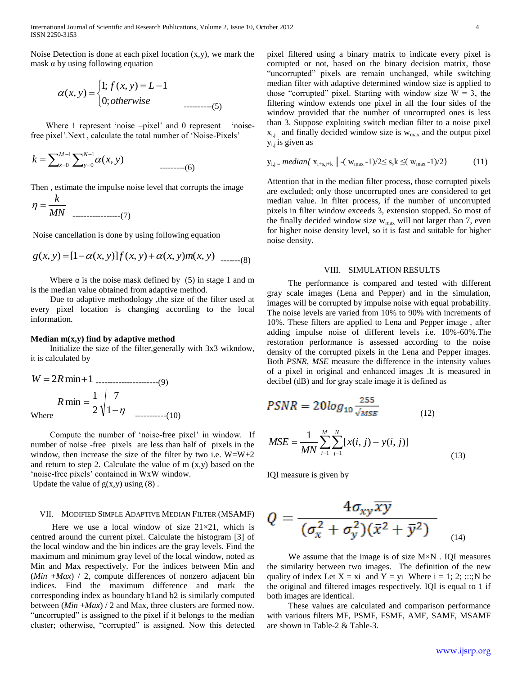Noise Detection is done at each pixel location  $(x,y)$ , we mark the mask  $\alpha$  by using following equation

$$
\alpha(x, y) = \begin{cases} 1; f(x, y) = L - 1 \\ 0; otherwise \end{cases}
$$
........(5)

Where 1 represent 'noise –pixel' and 0 represent 'noisefree pixel'.Next, calculate the total number of 'Noise-Pixels'

 1 0 1 0 ( , ) *M x N y k x y* ---------(6)

Then , estimate the impulse noise level that corrupts the image

*MN* -----------------(7)

 $\mathbf{r}$ 

Noise cancellation is done by using following equation

$$
g(x, y) = [1 - \alpha(x, y)]f(x, y) + \alpha(x, y)m(x, y) \quad (8)
$$

Where  $\alpha$  is the noise mask defined by (5) in stage 1 and m is the median value obtained from adaptive method.

 Due to adaptive methodology ,the size of the filter used at every pixel location is changing according to the local information.

#### **Median m(x,y) find by adaptive method**

 Initialize the size of the filter,generally with 3x3 wikndow, it is calculated by

$$
W = 2R \min + 1
$$
  
\n
$$
R \min = \frac{1}{2} \sqrt{\frac{7}{1 - \eta}}
$$
  
\nWhere

 Compute the number of "noise-free pixel" in window. If number of noise -free pixels are less than half of pixels in the window, then increase the size of the filter by two i.e.  $W=W+2$ and return to step 2. Calculate the value of  $m(x,y)$  based on the 'noise-free pixels' contained in WxW window.

Update the value of  $g(x,y)$  using  $(8)$ .

#### VII. MODIFIED SIMPLE ADAPTIVE MEDIAN FILTER (MSAMF)

Here we use a local window of size  $21\times21$ , which is centred around the current pixel. Calculate the histogram [3] of the local window and the bin indices are the gray levels. Find the maximum and minimum gray level of the local window, noted as Min and Max respectively. For the indices between Min and (*Min* +*Max*) / 2, compute differences of nonzero adjacent bin indices. Find the maximum difference and mark the corresponding index as boundary b1and b2 is similarly computed between (*Min* +*Max*) / 2 and Max, three clusters are formed now. "uncorrupted" is assigned to the pixel if it belongs to the median cluster; otherwise, "corrupted" is assigned. Now this detected pixel filtered using a binary matrix to indicate every pixel is corrupted or not, based on the binary decision matrix, those "uncorrupted" pixels are remain unchanged, while switching median filter with adaptive determined window size is applied to those "corrupted" pixel. Starting with window size  $W = 3$ , the filtering window extends one pixel in all the four sides of the window provided that the number of uncorrupted ones is less than 3. Suppose exploiting switch median filter to a noise pixel  $x_{i,j}$  and finally decided window size is  $w_{max}$  and the output pixel  $y_{i,j}$  is given as

$$
y_{i,j} = \text{median} \{ x_{i+s,j+k} \} - (w_{max} - 1)/2 \le s, k \le (w_{max} - 1)/2 \}
$$
 (11)

Attention that in the median filter process, those corrupted pixels are excluded; only those uncorrupted ones are considered to get median value. In filter process, if the number of uncorrupted pixels in filter window exceeds 3, extension stopped. So most of the finally decided window size  $w_{max}$  will not larger than 7, even for higher noise density level, so it is fast and suitable for higher noise density.

## VIII. SIMULATION RESULTS

 The performance is compared and tested with different gray scale images (Lena and Pepper) and in the simulation, images will be corrupted by impulse noise with equal probability. The noise levels are varied from 10% to 90% with increments of 10%. These filters are applied to Lena and Pepper image , after adding impulse noise of different levels i.e. 10%-60%.The restoration performance is assessed according to the noise density of the corrupted pixels in the Lena and Pepper images. Both *PSNR*, *MSE* measure the difference in the intensity values of a pixel in original and enhanced images .It is measured in decibel (dB) and for gray scale image it is defined as

$$
PSNR = 20\log_{10}\frac{255}{\sqrt{MSE}}\tag{12}
$$

$$
MSE = \frac{1}{MN} \sum_{i=1}^{M} \sum_{j=1}^{N} [x(i, j) - y(i, j)]
$$
\n(13)

IQI measure is given by

$$
Q = \frac{4\sigma_{xy}\overline{xy}}{(\sigma_x^2 + \sigma_y^2)(\bar{x}^2 + \bar{y}^2)}
$$
 (14)

 We assume that the image is of size M×N . IQI measures the similarity between two images. The definition of the new quality of index Let  $X = xi$  and  $Y = yi$  Where  $i = 1; 2; ...; N$  be the original and filtered images respectively. IQI is equal to 1 if both images are identical.

 These values are calculated and comparison performance with various filters MF, PSMF, FSMF, AMF, SAMF, MSAMF are shown in Table-2 & Table-3.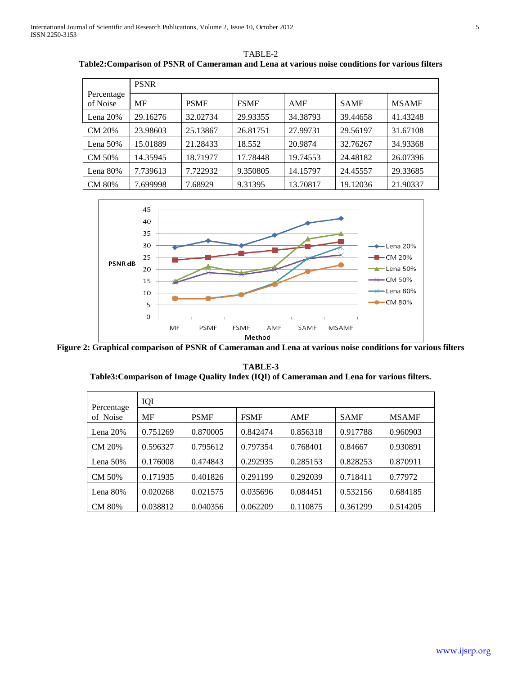|                        | <b>PSNR</b> |             |             |          |             |              |
|------------------------|-------------|-------------|-------------|----------|-------------|--------------|
| Percentage<br>of Noise | MF          | <b>PSMF</b> | <b>FSMF</b> | AMF      | <b>SAMF</b> | <b>MSAMF</b> |
| Lena $20%$             | 29.16276    | 32.02734    | 29.93355    | 34.38793 | 39.44658    | 41.43248     |
| CM 20%                 | 23.98603    | 25.13867    | 26.81751    | 27.99731 | 29.56197    | 31.67108     |
| Lena $50\%$            | 15.01889    | 21.28433    | 18.552      | 20.9874  | 32.76267    | 34.93368     |
| CM 50%                 | 14.35945    | 18.71977    | 17.78448    | 19.74553 | 24.48182    | 26.07396     |
| Lena $80\%$            | 7.739613    | 7.722932    | 9.350805    | 14.15797 | 24.45557    | 29.33685     |
| CM 80%                 | 7.699998    | 7.68929     | 9.31395     | 13.70817 | 19.12036    | 21.90337     |

TABLE-2 **Table2:Comparison of PSNR of Cameraman and Lena at various noise conditions for various filters**



**Figure 2: Graphical comparison of PSNR of Cameraman and Lena at various noise conditions for various filters**

|                        | IQI      |             |             |          |             |              |
|------------------------|----------|-------------|-------------|----------|-------------|--------------|
| Percentage<br>of Noise | MF       | <b>PSMF</b> | <b>FSMF</b> | AMF      | <b>SAMF</b> | <b>MSAMF</b> |
| Lena $20\%$            | 0.751269 | 0.870005    | 0.842474    | 0.856318 | 0.917788    | 0.960903     |
| CM 20%                 | 0.596327 | 0.795612    | 0.797354    | 0.768401 | 0.84667     | 0.930891     |
| Lena $50\%$            | 0.176008 | 0.474843    | 0.292935    | 0.285153 | 0.828253    | 0.870911     |
| CM 50%                 | 0.171935 | 0.401826    | 0.291199    | 0.292039 | 0.718411    | 0.77972      |
| Lena 80%               | 0.020268 | 0.021575    | 0.035696    | 0.084451 | 0.532156    | 0.684185     |
| CM 80%                 | 0.038812 | 0.040356    | 0.062209    | 0.110875 | 0.361299    | 0.514205     |

**TABLE-3 Table3:Comparison of Image Quality Index (IQI) of Cameraman and Lena for various filters.**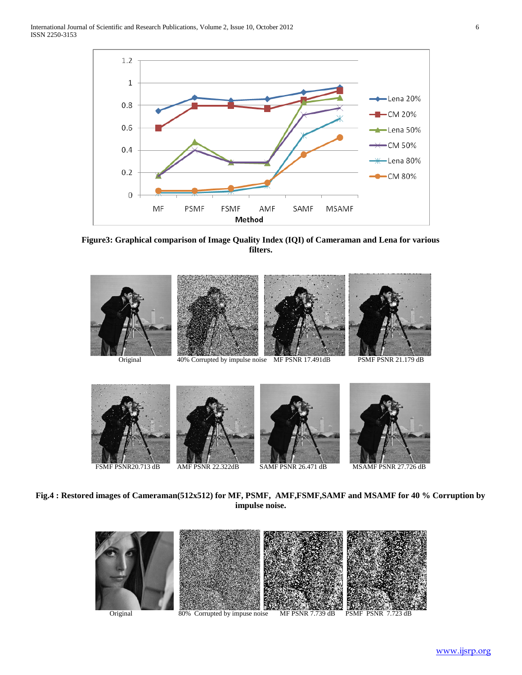

**Figure3: Graphical comparison of Image Quality Index (IQI) of Cameraman and Lena for various filters.**



**Fig.4 : Restored images of Cameraman(512x512) for MF, PSMF, AMF,FSMF,SAMF and MSAMF for 40 % Corruption by impulse noise.**

FSMF PSNR20.713 dB AMF PSNR 22.322dB SAMF PSNR 26.471 dB MSAMF PSNR 27.726 dB